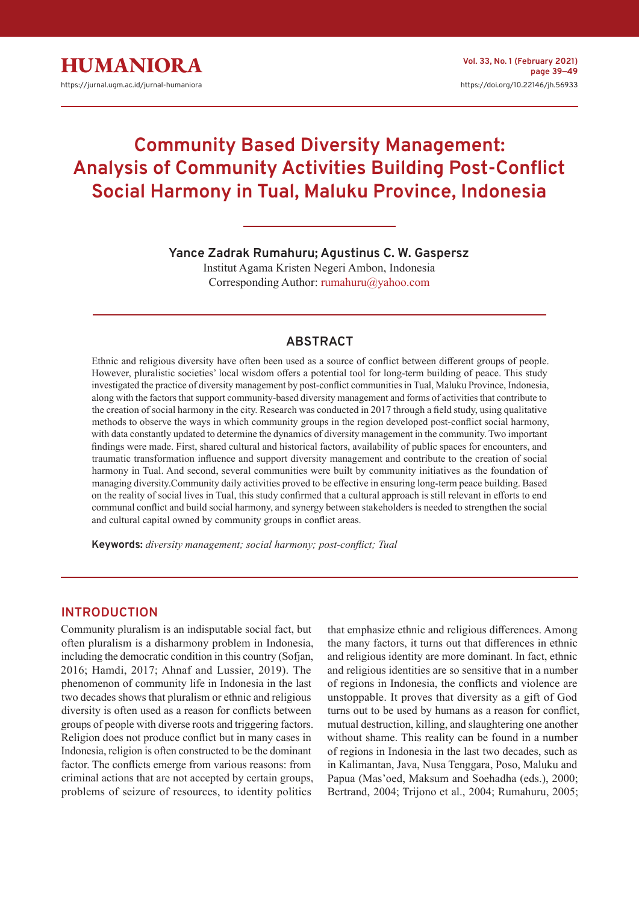

# **Community Based Diversity Management: Analysis of Community Activities Building Post-Conflict Social Harmony in Tual, Maluku Province, Indonesia**

**Yance Zadrak Rumahuru; Agustinus C. W. Gaspersz**

Institut Agama Kristen Negeri Ambon, Indonesia Corresponding Author: rumahuru@yahoo.com

# **ABSTRACT**

Ethnic and religious diversity have often been used as a source of conflict between different groups of people. However, pluralistic societies' local wisdom offers a potential tool for long-term building of peace. This study investigated the practice of diversity management by post-conflict communities in Tual, Maluku Province, Indonesia, along with the factors that support community-based diversity management and forms of activities that contribute to the creation of social harmony in the city. Research was conducted in 2017 through a field study, using qualitative methods to observe the ways in which community groups in the region developed post-conflict social harmony, with data constantly updated to determine the dynamics of diversity management in the community. Two important findings were made. First, shared cultural and historical factors, availability of public spaces for encounters, and traumatic transformation influence and support diversity management and contribute to the creation of social harmony in Tual. And second, several communities were built by community initiatives as the foundation of managing diversity.Community daily activities proved to be effective in ensuring long-term peace building. Based on the reality of social lives in Tual, this study confirmed that a cultural approach is still relevant in efforts to end communal conflict and build social harmony, and synergy between stakeholders is needed to strengthen the social and cultural capital owned by community groups in conflict areas.

**Keywords:** *diversity management; social harmony; post-conflict; Tual*

# **INTRODUCTION**

Community pluralism is an indisputable social fact, but often pluralism is a disharmony problem in Indonesia, including the democratic condition in this country (Sofjan, 2016; Hamdi, 2017; Ahnaf and Lussier, 2019). The phenomenon of community life in Indonesia in the last two decades shows that pluralism or ethnic and religious diversity is often used as a reason for conflicts between groups of people with diverse roots and triggering factors. Religion does not produce conflict but in many cases in Indonesia, religion is often constructed to be the dominant factor. The conflicts emerge from various reasons: from criminal actions that are not accepted by certain groups, problems of seizure of resources, to identity politics

that emphasize ethnic and religious differences. Among the many factors, it turns out that differences in ethnic and religious identity are more dominant. In fact, ethnic and religious identities are so sensitive that in a number of regions in Indonesia, the conflicts and violence are unstoppable. It proves that diversity as a gift of God turns out to be used by humans as a reason for conflict, mutual destruction, killing, and slaughtering one another without shame. This reality can be found in a number of regions in Indonesia in the last two decades, such as in Kalimantan, Java, Nusa Tenggara, Poso, Maluku and Papua (Mas'oed, Maksum and Soehadha (eds.), 2000; Bertrand, 2004; Trijono et al., 2004; Rumahuru, 2005;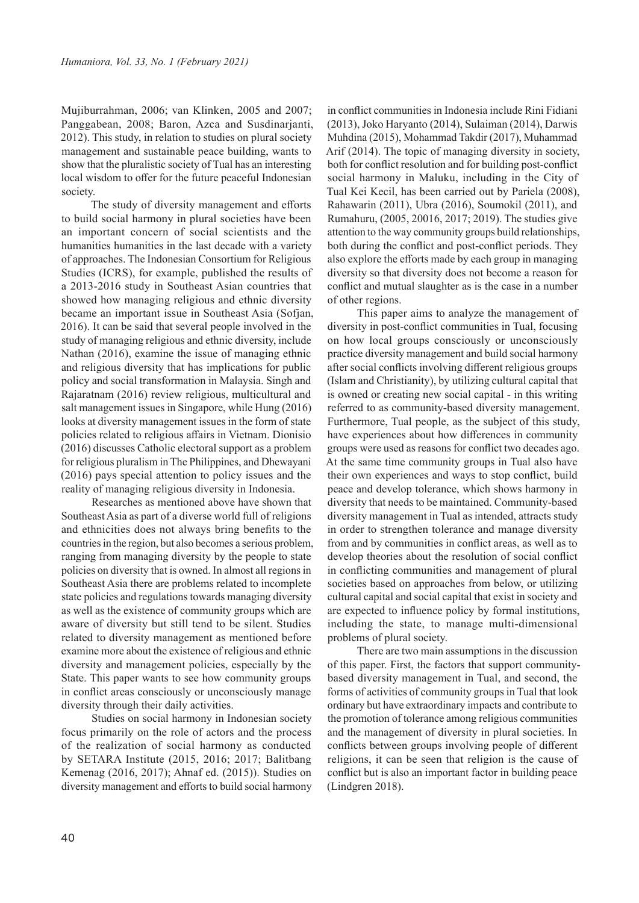Mujiburrahman, 2006; van Klinken, 2005 and 2007; Panggabean, 2008; Baron, Azca and Susdinarjanti, 2012). This study, in relation to studies on plural society management and sustainable peace building, wants to show that the pluralistic society of Tual has an interesting local wisdom to offer for the future peaceful Indonesian society.

The study of diversity management and efforts to build social harmony in plural societies have been an important concern of social scientists and the humanities humanities in the last decade with a variety of approaches. The Indonesian Consortium for Religious Studies (ICRS), for example, published the results of a 2013-2016 study in Southeast Asian countries that showed how managing religious and ethnic diversity became an important issue in Southeast Asia (Sofjan, 2016). It can be said that several people involved in the study of managing religious and ethnic diversity, include Nathan (2016), examine the issue of managing ethnic and religious diversity that has implications for public policy and social transformation in Malaysia. Singh and Rajaratnam (2016) review religious, multicultural and salt management issues in Singapore, while Hung (2016) looks at diversity management issues in the form of state policies related to religious affairs in Vietnam. Dionisio (2016) discusses Catholic electoral support as a problem for religious pluralism in The Philippines, and Dhewayani (2016) pays special attention to policy issues and the reality of managing religious diversity in Indonesia.

Researches as mentioned above have shown that Southeast Asia as part of a diverse world full of religions and ethnicities does not always bring benefits to the countries in the region, but also becomes a serious problem, ranging from managing diversity by the people to state policies on diversity that is owned. In almost all regions in Southeast Asia there are problems related to incomplete state policies and regulations towards managing diversity as well as the existence of community groups which are aware of diversity but still tend to be silent. Studies related to diversity management as mentioned before examine more about the existence of religious and ethnic diversity and management policies, especially by the State. This paper wants to see how community groups in conflict areas consciously or unconsciously manage diversity through their daily activities.

Studies on social harmony in Indonesian society focus primarily on the role of actors and the process of the realization of social harmony as conducted by SETARA Institute (2015, 2016; 2017; Balitbang Kemenag (2016, 2017); Ahnaf ed. (2015)). Studies on diversity management and efforts to build social harmony

in conflict communities in Indonesia include Rini Fidiani (2013), Joko Haryanto (2014), Sulaiman (2014), Darwis Muhdina (2015), Mohammad Takdir (2017), Muhammad Arif (2014). The topic of managing diversity in society, both for conflict resolution and for building post-conflict social harmony in Maluku, including in the City of Tual Kei Kecil, has been carried out by Pariela (2008), Rahawarin (2011), Ubra (2016), Soumokil (2011), and Rumahuru, (2005, 20016, 2017; 2019). The studies give attention to the way community groups build relationships, both during the conflict and post-conflict periods. They also explore the efforts made by each group in managing diversity so that diversity does not become a reason for conflict and mutual slaughter as is the case in a number of other regions.

This paper aims to analyze the management of diversity in post-conflict communities in Tual, focusing on how local groups consciously or unconsciously practice diversity management and build social harmony after social conflicts involving different religious groups (Islam and Christianity), by utilizing cultural capital that is owned or creating new social capital - in this writing referred to as community-based diversity management. Furthermore, Tual people, as the subject of this study, have experiences about how differences in community groups were used as reasons for conflict two decades ago. At the same time community groups in Tual also have their own experiences and ways to stop conflict, build peace and develop tolerance, which shows harmony in diversity that needs to be maintained. Community-based diversity management in Tual as intended, attracts study in order to strengthen tolerance and manage diversity from and by communities in conflict areas, as well as to develop theories about the resolution of social conflict in conflicting communities and management of plural societies based on approaches from below, or utilizing cultural capital and social capital that exist in society and are expected to influence policy by formal institutions, including the state, to manage multi-dimensional problems of plural society.

There are two main assumptions in the discussion of this paper. First, the factors that support communitybased diversity management in Tual, and second, the forms of activities of community groups in Tual that look ordinary but have extraordinary impacts and contribute to the promotion of tolerance among religious communities and the management of diversity in plural societies. In conflicts between groups involving people of different religions, it can be seen that religion is the cause of conflict but is also an important factor in building peace (Lindgren 2018).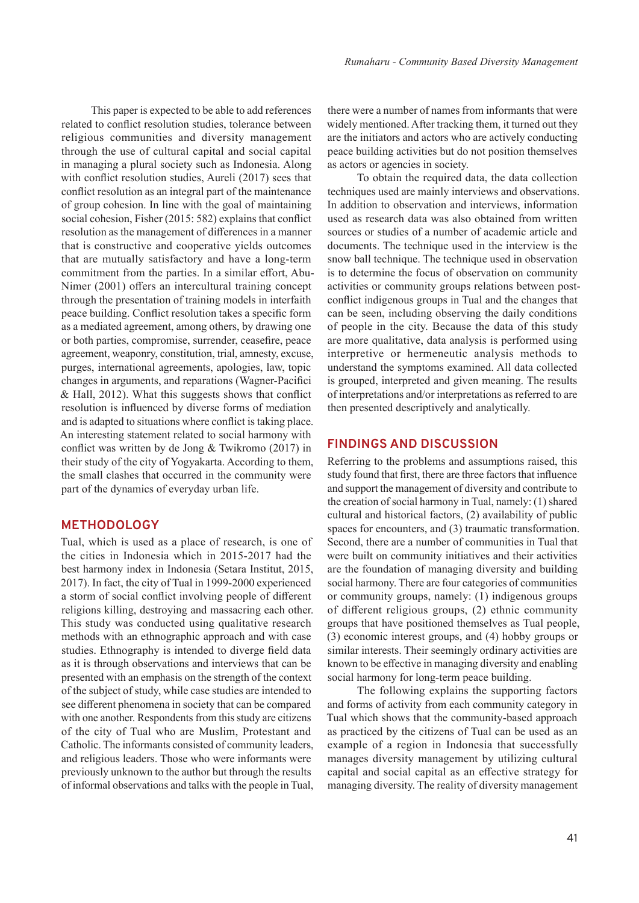This paper is expected to be able to add references related to conflict resolution studies, tolerance between religious communities and diversity management through the use of cultural capital and social capital in managing a plural society such as Indonesia. Along with conflict resolution studies, Aureli (2017) sees that conflict resolution as an integral part of the maintenance of group cohesion. In line with the goal of maintaining social cohesion, Fisher (2015: 582) explains that conflict resolution as the management of differences in a manner that is constructive and cooperative yields outcomes that are mutually satisfactory and have a long-term commitment from the parties. In a similar effort, Abu-Nimer (2001) offers an intercultural training concept through the presentation of training models in interfaith peace building. Conflict resolution takes a specific form as a mediated agreement, among others, by drawing one or both parties, compromise, surrender, ceasefire, peace agreement, weaponry, constitution, trial, amnesty, excuse, purges, international agreements, apologies, law, topic changes in arguments, and reparations (Wagner-Pacifici & Hall, 2012). What this suggests shows that conflict resolution is influenced by diverse forms of mediation and is adapted to situations where conflict is taking place. An interesting statement related to social harmony with conflict was written by de Jong & Twikromo (2017) in their study of the city of Yogyakarta. According to them, the small clashes that occurred in the community were part of the dynamics of everyday urban life.

### **METHODOLOGY**

Tual, which is used as a place of research, is one of the cities in Indonesia which in 2015-2017 had the best harmony index in Indonesia (Setara Institut, 2015, 2017). In fact, the city of Tual in 1999-2000 experienced a storm of social conflict involving people of different religions killing, destroying and massacring each other. This study was conducted using qualitative research methods with an ethnographic approach and with case studies. Ethnography is intended to diverge field data as it is through observations and interviews that can be presented with an emphasis on the strength of the context of the subject of study, while case studies are intended to see different phenomena in society that can be compared with one another. Respondents from this study are citizens of the city of Tual who are Muslim, Protestant and Catholic. The informants consisted of community leaders, and religious leaders. Those who were informants were previously unknown to the author but through the results of informal observations and talks with the people in Tual, there were a number of names from informants that were widely mentioned. After tracking them, it turned out they are the initiators and actors who are actively conducting peace building activities but do not position themselves as actors or agencies in society.

To obtain the required data, the data collection techniques used are mainly interviews and observations. In addition to observation and interviews, information used as research data was also obtained from written sources or studies of a number of academic article and documents. The technique used in the interview is the snow ball technique. The technique used in observation is to determine the focus of observation on community activities or community groups relations between postconflict indigenous groups in Tual and the changes that can be seen, including observing the daily conditions of people in the city. Because the data of this study are more qualitative, data analysis is performed using interpretive or hermeneutic analysis methods to understand the symptoms examined. All data collected is grouped, interpreted and given meaning. The results of interpretations and/or interpretations as referred to are then presented descriptively and analytically.

#### **FINDINGS AND DISCUSSION**

Referring to the problems and assumptions raised, this study found that first, there are three factors that influence and support the management of diversity and contribute to the creation of social harmony in Tual, namely: (1) shared cultural and historical factors, (2) availability of public spaces for encounters, and (3) traumatic transformation. Second, there are a number of communities in Tual that were built on community initiatives and their activities are the foundation of managing diversity and building social harmony. There are four categories of communities or community groups, namely: (1) indigenous groups of different religious groups, (2) ethnic community groups that have positioned themselves as Tual people, (3) economic interest groups, and (4) hobby groups or similar interests. Their seemingly ordinary activities are known to be effective in managing diversity and enabling social harmony for long-term peace building.

The following explains the supporting factors and forms of activity from each community category in Tual which shows that the community-based approach as practiced by the citizens of Tual can be used as an example of a region in Indonesia that successfully manages diversity management by utilizing cultural capital and social capital as an effective strategy for managing diversity. The reality of diversity management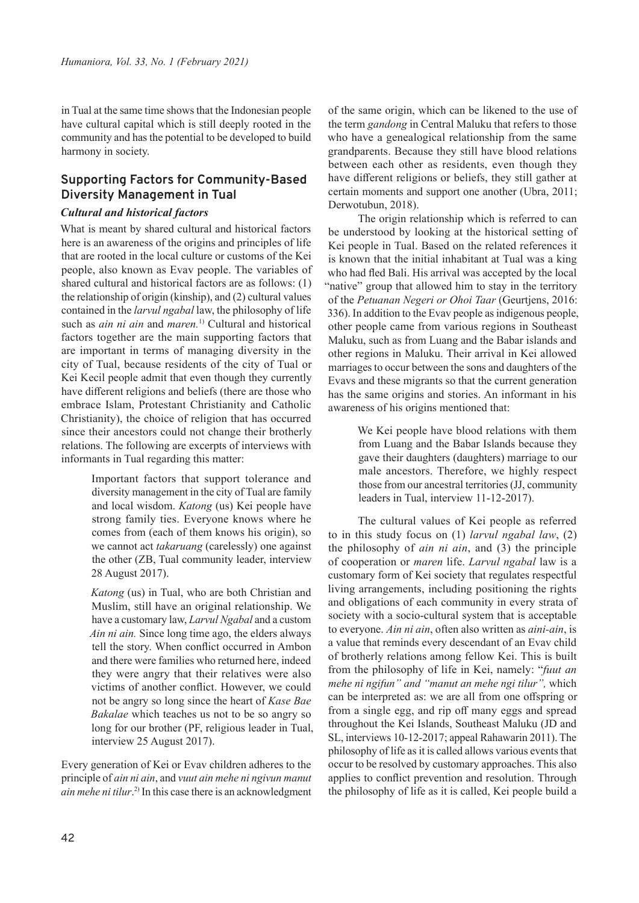in Tual at the same time shows that the Indonesian people have cultural capital which is still deeply rooted in the community and has the potential to be developed to build harmony in society.

# **Supporting Factors for Community-Based Diversity Management in Tual**

#### *Cultural and historical factors*

What is meant by shared cultural and historical factors here is an awareness of the origins and principles of life that are rooted in the local culture or customs of the Kei people, also known as Evav people. The variables of shared cultural and historical factors are as follows: (1) the relationship of origin (kinship), and (2) cultural values contained in the *larvul ngabal* law, the philosophy of life such as *ain ni ain* and *maren.*1) Cultural and historical factors together are the main supporting factors that are important in terms of managing diversity in the city of Tual, because residents of the city of Tual or Kei Kecil people admit that even though they currently have different religions and beliefs (there are those who embrace Islam, Protestant Christianity and Catholic Christianity), the choice of religion that has occurred since their ancestors could not change their brotherly relations. The following are excerpts of interviews with informants in Tual regarding this matter:

> Important factors that support tolerance and diversity management in the city of Tual are family and local wisdom. *Katong* (us) Kei people have strong family ties. Everyone knows where he comes from (each of them knows his origin), so we cannot act *takaruang* (carelessly) one against the other (ZB, Tual community leader, interview 28 August 2017).

> *Katong* (us) in Tual, who are both Christian and Muslim, still have an original relationship. We have a customary law, *Larvul Ngabal* and a custom *Ain ni ain.* Since long time ago, the elders always tell the story. When conflict occurred in Ambon and there were families who returned here, indeed they were angry that their relatives were also victims of another conflict. However, we could not be angry so long since the heart of *Kase Bae Bakalae* which teaches us not to be so angry so long for our brother (PF, religious leader in Tual, interview 25 August 2017).

Every generation of Kei or Evav children adheres to the principle of *ain ni ain*, and *vuut ain mehe ni ngivun manut ain mehe ni tilur*. 2) In this case there is an acknowledgment of the same origin, which can be likened to the use of the term *gandong* in Central Maluku that refers to those who have a genealogical relationship from the same grandparents. Because they still have blood relations between each other as residents, even though they have different religions or beliefs, they still gather at certain moments and support one another (Ubra, 2011; Derwotubun, 2018).

The origin relationship which is referred to can be understood by looking at the historical setting of Kei people in Tual. Based on the related references it is known that the initial inhabitant at Tual was a king who had fled Bali. His arrival was accepted by the local "native" group that allowed him to stay in the territory of the *Petuanan Negeri or Ohoi Taar* (Geurtjens, 2016: 336). In addition to the Evav people as indigenous people, other people came from various regions in Southeast Maluku, such as from Luang and the Babar islands and other regions in Maluku. Their arrival in Kei allowed marriages to occur between the sons and daughters of the Evavs and these migrants so that the current generation has the same origins and stories. An informant in his awareness of his origins mentioned that:

> We Kei people have blood relations with them from Luang and the Babar Islands because they gave their daughters (daughters) marriage to our male ancestors. Therefore, we highly respect those from our ancestral territories (JJ, community leaders in Tual, interview 11-12-2017).

The cultural values of Kei people as referred to in this study focus on (1) *larvul ngabal law*, (2) the philosophy of *ain ni ain*, and (3) the principle of cooperation or *maren* life. *Larvul ngabal* law is a customary form of Kei society that regulates respectful living arrangements, including positioning the rights and obligations of each community in every strata of society with a socio-cultural system that is acceptable to everyone. *Ain ni ain*, often also written as *aini-ain*, is a value that reminds every descendant of an Evav child of brotherly relations among fellow Kei. This is built from the philosophy of life in Kei, namely: "*fuut an mehe ni ngifun" and "manut an mehe ngi tilur",* which can be interpreted as: we are all from one offspring or from a single egg, and rip off many eggs and spread throughout the Kei Islands, Southeast Maluku (JD and SL, interviews 10-12-2017; appeal Rahawarin 2011). The philosophy of life as it is called allows various events that occur to be resolved by customary approaches. This also applies to conflict prevention and resolution. Through the philosophy of life as it is called, Kei people build a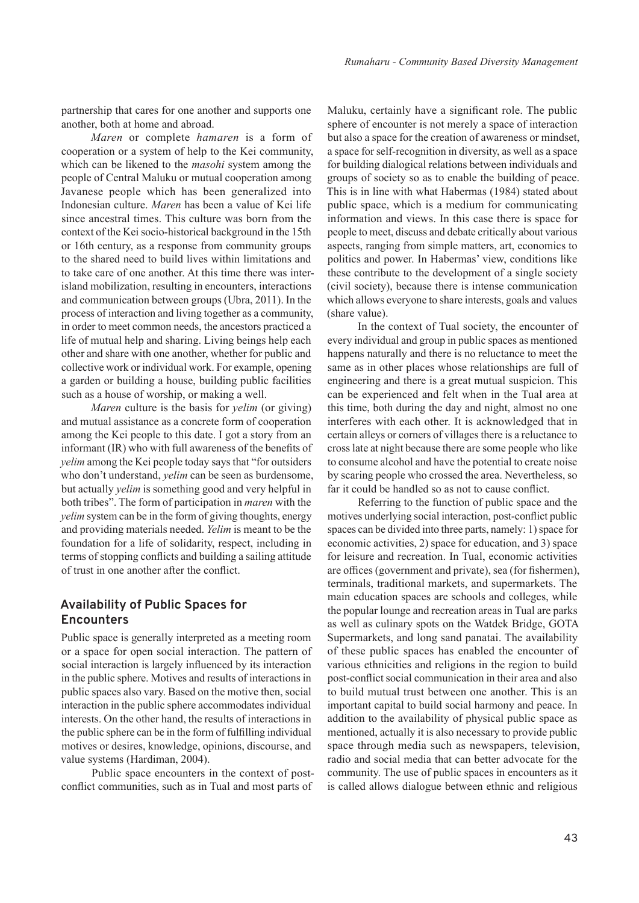partnership that cares for one another and supports one another, both at home and abroad.

*Maren* or complete *hamaren* is a form of cooperation or a system of help to the Kei community, which can be likened to the *masohi* system among the people of Central Maluku or mutual cooperation among Javanese people which has been generalized into Indonesian culture. *Maren* has been a value of Kei life since ancestral times. This culture was born from the context of the Kei socio-historical background in the 15th or 16th century, as a response from community groups to the shared need to build lives within limitations and to take care of one another. At this time there was interisland mobilization, resulting in encounters, interactions and communication between groups (Ubra, 2011). In the process of interaction and living together as a community, in order to meet common needs, the ancestors practiced a life of mutual help and sharing. Living beings help each other and share with one another, whether for public and collective work or individual work. For example, opening a garden or building a house, building public facilities such as a house of worship, or making a well.

*Maren* culture is the basis for *yelim* (or giving) and mutual assistance as a concrete form of cooperation among the Kei people to this date. I got a story from an informant (IR) who with full awareness of the benefits of *yelim* among the Kei people today says that "for outsiders who don't understand, *yelim* can be seen as burdensome, but actually *yelim* is something good and very helpful in both tribes". The form of participation in *maren* with the *yelim* system can be in the form of giving thoughts, energy and providing materials needed. *Yelim* is meant to be the foundation for a life of solidarity, respect, including in terms of stopping conflicts and building a sailing attitude of trust in one another after the conflict.

# **Availability of Public Spaces for Encounters**

Public space is generally interpreted as a meeting room or a space for open social interaction. The pattern of social interaction is largely influenced by its interaction in the public sphere. Motives and results of interactions in public spaces also vary. Based on the motive then, social interaction in the public sphere accommodates individual interests. On the other hand, the results of interactions in the public sphere can be in the form of fulfilling individual motives or desires, knowledge, opinions, discourse, and value systems (Hardiman, 2004).

Public space encounters in the context of postconflict communities, such as in Tual and most parts of

Maluku, certainly have a significant role. The public sphere of encounter is not merely a space of interaction but also a space for the creation of awareness or mindset, a space for self-recognition in diversity, as well as a space for building dialogical relations between individuals and groups of society so as to enable the building of peace. This is in line with what Habermas (1984) stated about public space, which is a medium for communicating information and views. In this case there is space for people to meet, discuss and debate critically about various aspects, ranging from simple matters, art, economics to politics and power. In Habermas' view, conditions like these contribute to the development of a single society (civil society), because there is intense communication which allows everyone to share interests, goals and values (share value).

In the context of Tual society, the encounter of every individual and group in public spaces as mentioned happens naturally and there is no reluctance to meet the same as in other places whose relationships are full of engineering and there is a great mutual suspicion. This can be experienced and felt when in the Tual area at this time, both during the day and night, almost no one interferes with each other. It is acknowledged that in certain alleys or corners of villages there is a reluctance to cross late at night because there are some people who like to consume alcohol and have the potential to create noise by scaring people who crossed the area. Nevertheless, so far it could be handled so as not to cause conflict.

Referring to the function of public space and the motives underlying social interaction, post-conflict public spaces can be divided into three parts, namely: 1) space for economic activities, 2) space for education, and 3) space for leisure and recreation. In Tual, economic activities are offices (government and private), sea (for fishermen), terminals, traditional markets, and supermarkets. The main education spaces are schools and colleges, while the popular lounge and recreation areas in Tual are parks as well as culinary spots on the Watdek Bridge, GOTA Supermarkets, and long sand panatai. The availability of these public spaces has enabled the encounter of various ethnicities and religions in the region to build post-conflict social communication in their area and also to build mutual trust between one another. This is an important capital to build social harmony and peace. In addition to the availability of physical public space as mentioned, actually it is also necessary to provide public space through media such as newspapers, television, radio and social media that can better advocate for the community. The use of public spaces in encounters as it is called allows dialogue between ethnic and religious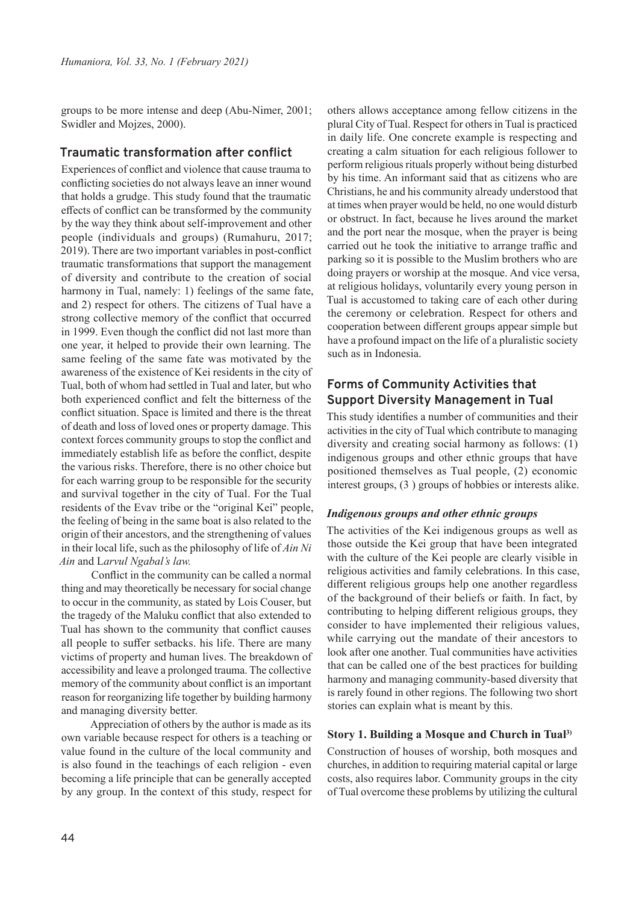groups to be more intense and deep (Abu-Nimer, 2001; Swidler and Mojzes, 2000).

## **Traumatic transformation after conflict**

Experiences of conflict and violence that cause trauma to conflicting societies do not always leave an inner wound that holds a grudge. This study found that the traumatic effects of conflict can be transformed by the community by the way they think about self-improvement and other people (individuals and groups) (Rumahuru, 2017; 2019). There are two important variables in post-conflict traumatic transformations that support the management of diversity and contribute to the creation of social harmony in Tual, namely: 1) feelings of the same fate, and 2) respect for others. The citizens of Tual have a strong collective memory of the conflict that occurred in 1999. Even though the conflict did not last more than one year, it helped to provide their own learning. The same feeling of the same fate was motivated by the awareness of the existence of Kei residents in the city of Tual, both of whom had settled in Tual and later, but who both experienced conflict and felt the bitterness of the conflict situation. Space is limited and there is the threat of death and loss of loved ones or property damage. This context forces community groups to stop the conflict and immediately establish life as before the conflict, despite the various risks. Therefore, there is no other choice but for each warring group to be responsible for the security and survival together in the city of Tual. For the Tual residents of the Evav tribe or the "original Kei" people, the feeling of being in the same boat is also related to the origin of their ancestors, and the strengthening of values in their local life, such as the philosophy of life of *Ain Ni Ain* and L*arvul Ngabal's law.*

Conflict in the community can be called a normal thing and may theoretically be necessary for social change to occur in the community, as stated by Lois Couser, but the tragedy of the Maluku conflict that also extended to Tual has shown to the community that conflict causes all people to suffer setbacks. his life. There are many victims of property and human lives. The breakdown of accessibility and leave a prolonged trauma. The collective memory of the community about conflict is an important reason for reorganizing life together by building harmony and managing diversity better.

Appreciation of others by the author is made as its own variable because respect for others is a teaching or value found in the culture of the local community and is also found in the teachings of each religion - even becoming a life principle that can be generally accepted by any group. In the context of this study, respect for others allows acceptance among fellow citizens in the plural City of Tual. Respect for others in Tual is practiced in daily life. One concrete example is respecting and creating a calm situation for each religious follower to perform religious rituals properly without being disturbed by his time. An informant said that as citizens who are Christians, he and his community already understood that at times when prayer would be held, no one would disturb or obstruct. In fact, because he lives around the market and the port near the mosque, when the prayer is being carried out he took the initiative to arrange traffic and parking so it is possible to the Muslim brothers who are doing prayers or worship at the mosque. And vice versa, at religious holidays, voluntarily every young person in Tual is accustomed to taking care of each other during the ceremony or celebration. Respect for others and cooperation between different groups appear simple but have a profound impact on the life of a pluralistic society such as in Indonesia.

# **Forms of Community Activities that Support Diversity Management in Tual**

This study identifies a number of communities and their activities in the city of Tual which contribute to managing diversity and creating social harmony as follows: (1) indigenous groups and other ethnic groups that have positioned themselves as Tual people, (2) economic interest groups, (3 ) groups of hobbies or interests alike.

### *Indigenous groups and other ethnic groups*

The activities of the Kei indigenous groups as well as those outside the Kei group that have been integrated with the culture of the Kei people are clearly visible in religious activities and family celebrations. In this case, different religious groups help one another regardless of the background of their beliefs or faith. In fact, by contributing to helping different religious groups, they consider to have implemented their religious values, while carrying out the mandate of their ancestors to look after one another. Tual communities have activities that can be called one of the best practices for building harmony and managing community-based diversity that is rarely found in other regions. The following two short stories can explain what is meant by this.

### **Story 1. Building a Mosque and Church in Tual3)**

Construction of houses of worship, both mosques and churches, in addition to requiring material capital or large costs, also requires labor. Community groups in the city of Tual overcome these problems by utilizing the cultural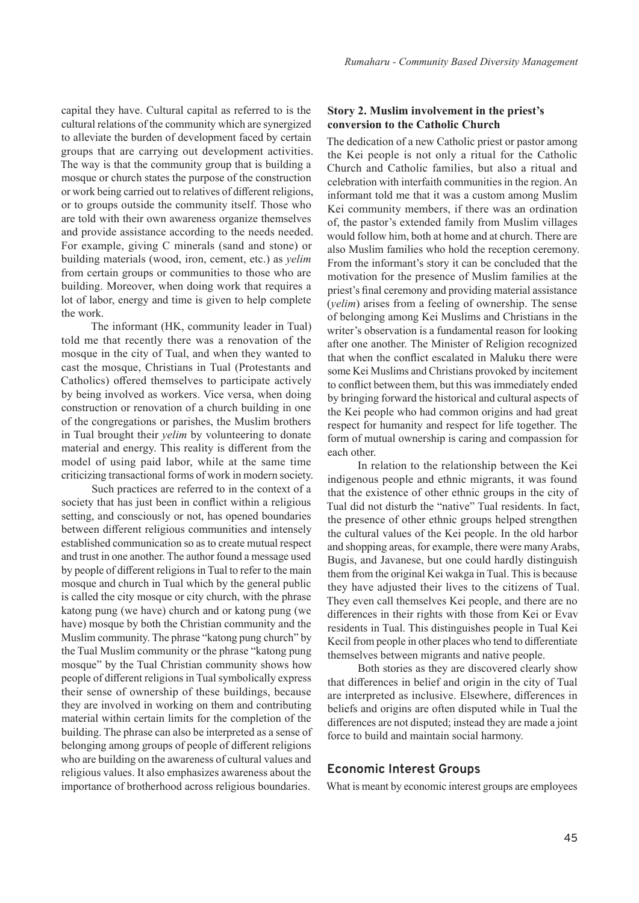capital they have. Cultural capital as referred to is the cultural relations of the community which are synergized to alleviate the burden of development faced by certain groups that are carrying out development activities. The way is that the community group that is building a mosque or church states the purpose of the construction or work being carried out to relatives of different religions, or to groups outside the community itself. Those who are told with their own awareness organize themselves and provide assistance according to the needs needed. For example, giving C minerals (sand and stone) or building materials (wood, iron, cement, etc.) as *yelim* from certain groups or communities to those who are building. Moreover, when doing work that requires a lot of labor, energy and time is given to help complete the work.

The informant (HK, community leader in Tual) told me that recently there was a renovation of the mosque in the city of Tual, and when they wanted to cast the mosque, Christians in Tual (Protestants and Catholics) offered themselves to participate actively by being involved as workers. Vice versa, when doing construction or renovation of a church building in one of the congregations or parishes, the Muslim brothers in Tual brought their *yelim* by volunteering to donate material and energy. This reality is different from the model of using paid labor, while at the same time criticizing transactional forms of work in modern society.

Such practices are referred to in the context of a society that has just been in conflict within a religious setting, and consciously or not, has opened boundaries between different religious communities and intensely established communication so as to create mutual respect and trust in one another. The author found a message used by people of different religions in Tual to refer to the main mosque and church in Tual which by the general public is called the city mosque or city church, with the phrase katong pung (we have) church and or katong pung (we have) mosque by both the Christian community and the Muslim community. The phrase "katong pung church" by the Tual Muslim community or the phrase "katong pung mosque" by the Tual Christian community shows how people of different religions in Tual symbolically express their sense of ownership of these buildings, because they are involved in working on them and contributing material within certain limits for the completion of the building. The phrase can also be interpreted as a sense of belonging among groups of people of different religions who are building on the awareness of cultural values and religious values. It also emphasizes awareness about the importance of brotherhood across religious boundaries.

# **Story 2. Muslim involvement in the priest's conversion to the Catholic Church**

The dedication of a new Catholic priest or pastor among the Kei people is not only a ritual for the Catholic Church and Catholic families, but also a ritual and celebration with interfaith communities in the region. An informant told me that it was a custom among Muslim Kei community members, if there was an ordination of, the pastor's extended family from Muslim villages would follow him, both at home and at church. There are also Muslim families who hold the reception ceremony. From the informant's story it can be concluded that the motivation for the presence of Muslim families at the priest's final ceremony and providing material assistance (*yelim*) arises from a feeling of ownership. The sense of belonging among Kei Muslims and Christians in the writer's observation is a fundamental reason for looking after one another. The Minister of Religion recognized that when the conflict escalated in Maluku there were some Kei Muslims and Christians provoked by incitement to conflict between them, but this was immediately ended by bringing forward the historical and cultural aspects of the Kei people who had common origins and had great respect for humanity and respect for life together. The form of mutual ownership is caring and compassion for each other.

In relation to the relationship between the Kei indigenous people and ethnic migrants, it was found that the existence of other ethnic groups in the city of Tual did not disturb the "native" Tual residents. In fact, the presence of other ethnic groups helped strengthen the cultural values of the Kei people. In the old harbor and shopping areas, for example, there were many Arabs, Bugis, and Javanese, but one could hardly distinguish them from the original Kei wakga in Tual. This is because they have adjusted their lives to the citizens of Tual. They even call themselves Kei people, and there are no differences in their rights with those from Kei or Evav residents in Tual. This distinguishes people in Tual Kei Kecil from people in other places who tend to differentiate themselves between migrants and native people.

Both stories as they are discovered clearly show that differences in belief and origin in the city of Tual are interpreted as inclusive. Elsewhere, differences in beliefs and origins are often disputed while in Tual the differences are not disputed; instead they are made a joint force to build and maintain social harmony.

# **Economic Interest Groups**

What is meant by economic interest groups are employees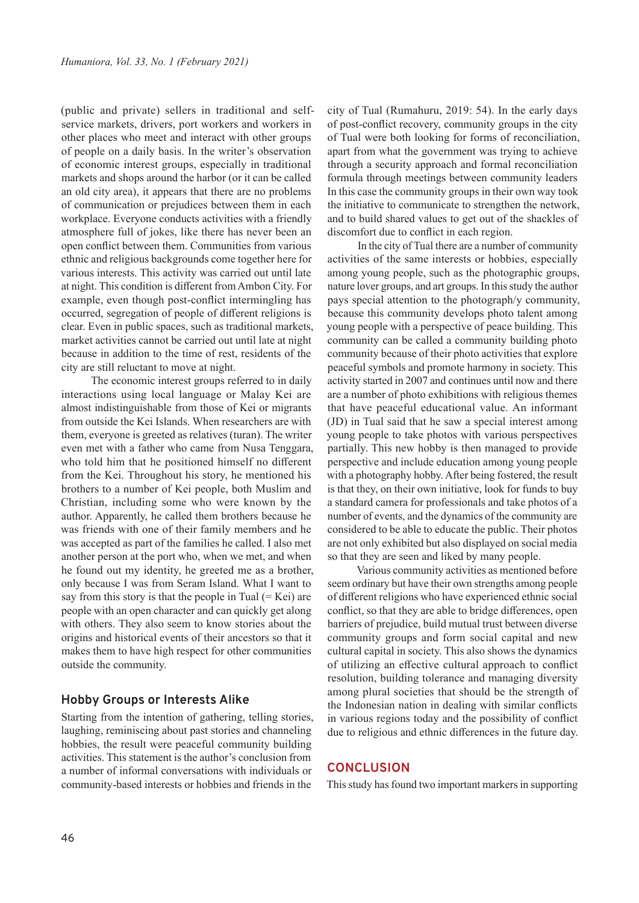(public and private) sellers in traditional and selfservice markets, drivers, port workers and workers in other places who meet and interact with other groups of people on a daily basis. In the writer's observation of economic interest groups, especially in traditional markets and shops around the harbor (or it can be called an old city area), it appears that there are no problems of communication or prejudices between them in each workplace. Everyone conducts activities with a friendly atmosphere full of jokes, like there has never been an open conflict between them. Communities from various ethnic and religious backgrounds come together here for various interests. This activity was carried out until late at night. This condition is different from Ambon City. For example, even though post-conflict intermingling has occurred, segregation of people of different religions is clear. Even in public spaces, such as traditional markets, market activities cannot be carried out until late at night because in addition to the time of rest, residents of the city are still reluctant to move at night.

The economic interest groups referred to in daily interactions using local language or Malay Kei are almost indistinguishable from those of Kei or migrants from outside the Kei Islands. When researchers are with them, everyone is greeted as relatives (turan). The writer even met with a father who came from Nusa Tenggara, who told him that he positioned himself no different from the Kei. Throughout his story, he mentioned his brothers to a number of Kei people, both Muslim and Christian, including some who were known by the author. Apparently, he called them brothers because he was friends with one of their family members and he was accepted as part of the families he called. I also met another person at the port who, when we met, and when he found out my identity, he greeted me as a brother, only because I was from Seram Island. What I want to say from this story is that the people in Tual  $(= Kei)$  are people with an open character and can quickly get along with others. They also seem to know stories about the origins and historical events of their ancestors so that it makes them to have high respect for other communities outside the community.

### **Hobby Groups or Interests Alike**

Starting from the intention of gathering, telling stories, laughing, reminiscing about past stories and channeling hobbies, the result were peaceful community building activities. This statement is the author's conclusion from a number of informal conversations with individuals or community-based interests or hobbies and friends in the

city of Tual (Rumahuru, 2019: 54). In the early days of post-conflict recovery, community groups in the city of Tual were both looking for forms of reconciliation, apart from what the government was trying to achieve through a security approach and formal reconciliation formula through meetings between community leaders In this case the community groups in their own way took the initiative to communicate to strengthen the network, and to build shared values to get out of the shackles of discomfort due to conflict in each region.

In the city of Tual there are a number of community activities of the same interests or hobbies, especially among young people, such as the photographic groups, nature lover groups, and art groups. In this study the author pays special attention to the photograph/y community, because this community develops photo talent among young people with a perspective of peace building. This community can be called a community building photo community because of their photo activities that explore peaceful symbols and promote harmony in society. This activity started in 2007 and continues until now and there are a number of photo exhibitions with religious themes that have peaceful educational value. An informant (JD) in Tual said that he saw a special interest among young people to take photos with various perspectives partially. This new hobby is then managed to provide perspective and include education among young people with a photography hobby. After being fostered, the result is that they, on their own initiative, look for funds to buy a standard camera for professionals and take photos of a number of events, and the dynamics of the community are considered to be able to educate the public. Their photos are not only exhibited but also displayed on social media so that they are seen and liked by many people.

Various community activities as mentioned before seem ordinary but have their own strengths among people of different religions who have experienced ethnic social conflict, so that they are able to bridge differences, open barriers of prejudice, build mutual trust between diverse community groups and form social capital and new cultural capital in society. This also shows the dynamics of utilizing an effective cultural approach to conflict resolution, building tolerance and managing diversity among plural societies that should be the strength of the Indonesian nation in dealing with similar conflicts in various regions today and the possibility of conflict due to religious and ethnic differences in the future day.

# **CONCLUSION**

This study has found two important markers in supporting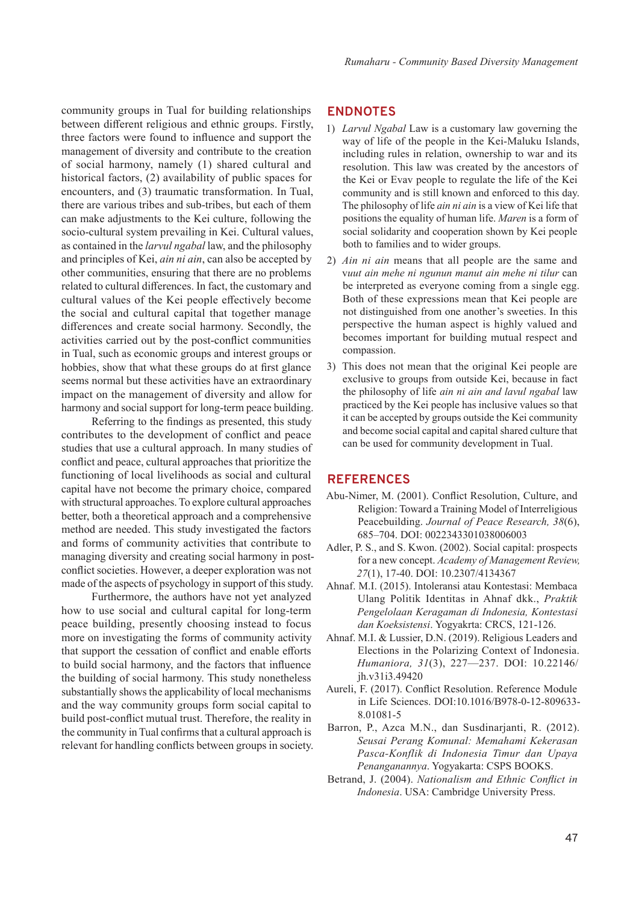community groups in Tual for building relationships between different religious and ethnic groups. Firstly, three factors were found to influence and support the management of diversity and contribute to the creation of social harmony, namely (1) shared cultural and historical factors, (2) availability of public spaces for encounters, and (3) traumatic transformation. In Tual, there are various tribes and sub-tribes, but each of them can make adjustments to the Kei culture, following the socio-cultural system prevailing in Kei. Cultural values, as contained in the *larvul ngabal* law, and the philosophy and principles of Kei, *ain ni ain*, can also be accepted by other communities, ensuring that there are no problems related to cultural differences. In fact, the customary and cultural values of the Kei people effectively become the social and cultural capital that together manage differences and create social harmony. Secondly, the activities carried out by the post-conflict communities in Tual, such as economic groups and interest groups or hobbies, show that what these groups do at first glance seems normal but these activities have an extraordinary impact on the management of diversity and allow for harmony and social support for long-term peace building.

Referring to the findings as presented, this study contributes to the development of conflict and peace studies that use a cultural approach. In many studies of conflict and peace, cultural approaches that prioritize the functioning of local livelihoods as social and cultural capital have not become the primary choice, compared with structural approaches. To explore cultural approaches better, both a theoretical approach and a comprehensive method are needed. This study investigated the factors and forms of community activities that contribute to managing diversity and creating social harmony in postconflict societies. However, a deeper exploration was not made of the aspects of psychology in support of this study.

Furthermore, the authors have not yet analyzed how to use social and cultural capital for long-term peace building, presently choosing instead to focus more on investigating the forms of community activity that support the cessation of conflict and enable efforts to build social harmony, and the factors that influence the building of social harmony. This study nonetheless substantially shows the applicability of local mechanisms and the way community groups form social capital to build post-conflict mutual trust. Therefore, the reality in the community in Tual confirms that a cultural approach is relevant for handling conflicts between groups in society.

### **ENDNOTES**

- 1) *Larvul Ngabal* Law is a customary law governing the way of life of the people in the Kei-Maluku Islands, including rules in relation, ownership to war and its resolution. This law was created by the ancestors of the Kei or Evav people to regulate the life of the Kei community and is still known and enforced to this day. The philosophy of life *ain ni ain* is a view of Kei life that positions the equality of human life. *Maren* is a form of social solidarity and cooperation shown by Kei people both to families and to wider groups.
- 2) *Ain ni ain* means that all people are the same and v*uut ain mehe ni ngunun manut ain mehe ni tilur* can be interpreted as everyone coming from a single egg. Both of these expressions mean that Kei people are not distinguished from one another's sweeties. In this perspective the human aspect is highly valued and becomes important for building mutual respect and compassion.
- 3) This does not mean that the original Kei people are exclusive to groups from outside Kei, because in fact the philosophy of life *ain ni ain and lavul ngabal* law practiced by the Kei people has inclusive values so that it can be accepted by groups outside the Kei community and become social capital and capital shared culture that can be used for community development in Tual.

### **REFERENCES**

- Abu-Nimer, M. (2001). Conflict Resolution, Culture, and Religion: Toward a Training Model of Interreligious Peacebuilding. *Journal of Peace Research, 38*(6), 685–704. DOI: 0022343301038006003
- Adler, P. S., and S. Kwon. (2002). Social capital: prospects for a new concept. *Academy of Management Review, 27*(1), 17-40. DOI: 10.2307/4134367
- Ahnaf. M.I. (2015). Intoleransi atau Kontestasi: Membaca Ulang Politik Identitas in Ahnaf dkk., *Praktik Pengelolaan Keragaman di Indonesia, Kontestasi dan Koeksistensi*. Yogyakrta: CRCS, 121-126.
- Ahnaf. M.I. & Lussier, D.N. (2019). Religious Leaders and Elections in the Polarizing Context of Indonesia. *Humaniora, 31*(3), 227—237. DOI: 10.22146/ jh.v31i3.49420
- Aureli, F. (2017). Conflict Resolution. Reference Module in Life Sciences. DOI:10.1016/B978-0-12-809633- 8.01081-5
- Barron, P., Azca M.N., dan Susdinarjanti, R. (2012). *Seusai Perang Komunal: Memahami Kekerasan Pasca-Konflik di Indonesia Timur dan Upaya Penanganannya*. Yogyakarta: CSPS BOOKS.
- Betrand, J. (2004). *Nationalism and Ethnic Conflict in Indonesia*. USA: Cambridge University Press.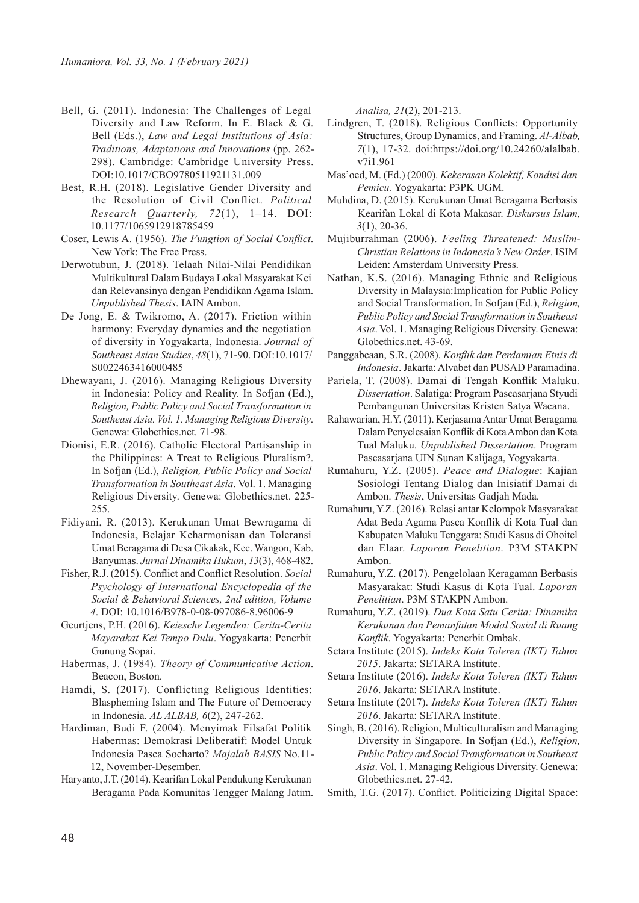- Bell, G. (2011). Indonesia: The Challenges of Legal Diversity and Law Reform. In E. Black & G. Bell (Eds.), *Law and Legal Institutions of Asia: Traditions, Adaptations and Innovations* (pp. 262- 298). Cambridge: Cambridge University Press. DOI:10.1017/CBO9780511921131.009
- Best, R.H. (2018). Legislative Gender Diversity and the Resolution of Civil Conflict. *Political Research Quarterly, 72*(1), 1–14. DOI: 10.1177/1065912918785459
- Coser, Lewis A. (1956). *The Fungtion of Social Conflict*. New York: The Free Press.
- Derwotubun, J. (2018). Telaah Nilai-Nilai Pendidikan Multikultural Dalam Budaya Lokal Masyarakat Kei dan Relevansinya dengan Pendidikan Agama Islam. *Unpublished Thesis*. IAIN Ambon.
- De Jong, E. & Twikromo, A. (2017). Friction within harmony: Everyday dynamics and the negotiation of diversity in Yogyakarta, Indonesia. *Journal of Southeast Asian Studies*, *48*(1), 71-90. DOI:10.1017/ S0022463416000485
- Dhewayani, J. (2016). Managing Religious Diversity in Indonesia: Policy and Reality. In Sofjan (Ed.), *Religion, Public Policy and Social Transformation in Southeast Asia. Vol. 1. Managing Religious Diversity*. Genewa: Globethics.net. 71-98.
- Dionisi, E.R. (2016). Catholic Electoral Partisanship in the Philippines: A Treat to Religious Pluralism?. In Sofjan (Ed.), *Religion, Public Policy and Social Transformation in Southeast Asia*. Vol. 1. Managing Religious Diversity. Genewa: Globethics.net. 225- 255.
- Fidiyani, R. (2013). Kerukunan Umat Bewragama di Indonesia, Belajar Keharmonisan dan Toleransi Umat Beragama di Desa Cikakak, Kec. Wangon, Kab. Banyumas. *Jurnal Dinamika Hukum*, *13*(3), 468-482.
- Fisher, R.J. (2015). Conflict and Conflict Resolution. *Social Psychology of International Encyclopedia of the Social & Behavioral Sciences, 2nd edition, Volume 4*. DOI: 10.1016/B978-0-08-097086-8.96006-9
- Geurtjens, P.H. (2016). *Keiesche Legenden: Cerita-Cerita Mayarakat Kei Tempo Dulu*. Yogyakarta: Penerbit Gunung Sopai.
- Habermas, J. (1984). *Theory of Communicative Action*. Beacon, Boston.
- Hamdi, S. (2017). Conflicting Religious Identities: Blaspheming Islam and The Future of Democracy in Indonesia. *AL ALBAB, 6*(2), 247-262.
- Hardiman, Budi F. (2004). Menyimak Filsafat Politik Habermas: Demokrasi Deliberatif: Model Untuk Indonesia Pasca Soeharto? *Majalah BASIS* No.11- 12, November-Desember.
- Haryanto, J.T. (2014). Kearifan Lokal Pendukung Kerukunan Beragama Pada Komunitas Tengger Malang Jatim.

*Analisa, 21*(2), 201-213.

- Lindgren, T. (2018). Religious Conflicts: Opportunity Structures, Group Dynamics, and Framing. *Al-Albab, 7*(1), 17-32. doi:https://doi.org/10.24260/alalbab. v7i1.961
- Mas'oed, M. (Ed.) (2000). *Kekerasan Kolektif, Kondisi dan Pemicu.* Yogyakarta: P3PK UGM.
- Muhdina, D. (2015). Kerukunan Umat Beragama Berbasis Kearifan Lokal di Kota Makasar. *Diskursus Islam, 3*(1), 20-36.
- Mujiburrahman (2006). *Feeling Threatened: Muslim-Christian Relations in Indonesia's New Order*. ISIM Leiden: Amsterdam University Press.
- Nathan, K.S. (2016). Managing Ethnic and Religious Diversity in Malaysia:Implication for Public Policy and Social Transformation. In Sofjan (Ed.), *Religion, Public Policy and Social Transformation in Southeast Asia*. Vol. 1. Managing Religious Diversity. Genewa: Globethics.net. 43-69.
- Panggabeaan, S.R. (2008). *Konflik dan Perdamian Etnis di Indonesia*. Jakarta: Alvabet dan PUSAD Paramadina.
- Pariela, T. (2008). Damai di Tengah Konflik Maluku. *Dissertation*. Salatiga: Program Pascasarjana Styudi Pembangunan Universitas Kristen Satya Wacana.
- Rahawarian, H.Y. (2011). Kerjasama Antar Umat Beragama Dalam Penyelesaian Konflik di Kota Ambon dan Kota Tual Maluku. *Unpublished Dissertation*. Program Pascasarjana UIN Sunan Kalijaga, Yogyakarta.
- Rumahuru, Y.Z. (2005). *Peace and Dialogue*: Kajian Sosiologi Tentang Dialog dan Inisiatif Damai di Ambon. *Thesis*, Universitas Gadjah Mada.
- Rumahuru, Y.Z. (2016). Relasi antar Kelompok Masyarakat Adat Beda Agama Pasca Konflik di Kota Tual dan Kabupaten Maluku Tenggara: Studi Kasus di Ohoitel dan Elaar. *Laporan Penelitian*. P3M STAKPN Ambon.
- Rumahuru, Y.Z. (2017). Pengelolaan Keragaman Berbasis Masyarakat: Studi Kasus di Kota Tual. *Laporan Penelitian*. P3M STAKPN Ambon.
- Rumahuru, Y.Z. (2019). *Dua Kota Satu Cerita: Dinamika Kerukunan dan Pemanfatan Modal Sosial di Ruang Konflik*. Yogyakarta: Penerbit Ombak.
- Setara Institute (2015). *Indeks Kota Toleren (IKT) Tahun 2015*. Jakarta: SETARA Institute.
- Setara Institute (2016). *Indeks Kota Toleren (IKT) Tahun 2016*. Jakarta: SETARA Institute.
- Setara Institute (2017). *Indeks Kota Toleren (IKT) Tahun 2016*. Jakarta: SETARA Institute.
- Singh, B. (2016). Religion, Multiculturalism and Managing Diversity in Singapore. In Sofjan (Ed.), *Religion, Public Policy and Social Transformation in Southeast Asia*. Vol. 1. Managing Religious Diversity. Genewa: Globethics.net. 27-42.
- Smith, T.G. (2017). Conflict. Politicizing Digital Space: